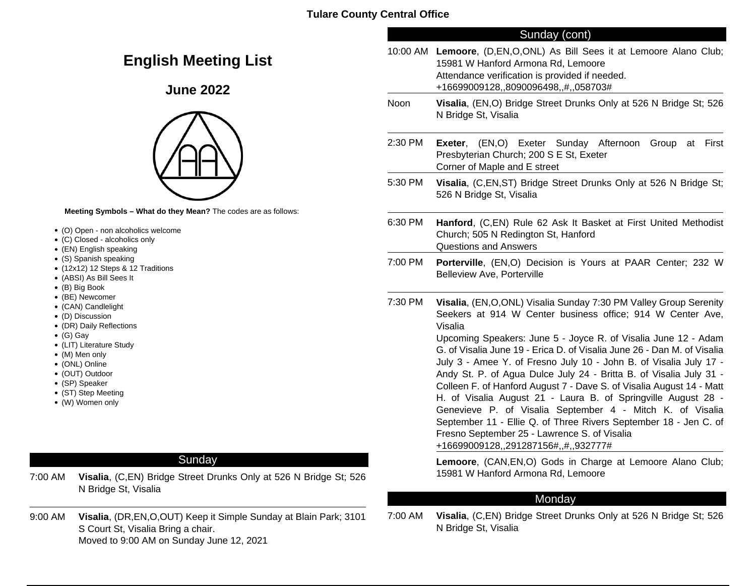# **English Meeting List**

# **June 2022**



**Meeting Symbols – What do they Mean?** The codes are as follows:

- (O) Open non alcoholics welcome
- (C) Closed alcoholics only
- (EN) English speaking
- (S) Spanish speaking
- (12x12) 12 Steps & 12 Traditions
- (ABSI) As Bill Sees It
- (B) Big Book
- (BE) Newcomer
- (CAN) Candlelight
- (D) Discussion
- (DR) Daily Reflections
- (G) Gay
- (LIT) Literature Study
- (M) Men only
- (ONL) Online
- (OUT) Outdoor
- (SP) Speaker
- (ST) Step Meeting
- (W) Women only

# Sunday

- 7:00 AM **Visalia**, (C,EN) Bridge Street Drunks Only at 526 N Bridge St; 526 N Bridge St, Visalia
- 9:00 AM **Visalia**, (DR,EN,O,OUT) Keep it Simple Sunday at Blain Park; 3101 S Court St, Visalia Bring a chair. Moved to 9:00 AM on Sunday June 12, 2021

## Sunday (cont)

|         | 10:00 AM Lemoore, (D, EN, O, ONL) As Bill Sees it at Lemoore Alano Club;<br>15981 W Hanford Armona Rd, Lemoore<br>Attendance verification is provided if needed.<br>+16699009128,,8090096498,,#,,058703#                                                                                                                                                                                                                                                                                                                                                                                                                                                                                                                                                                                                                                                             |
|---------|----------------------------------------------------------------------------------------------------------------------------------------------------------------------------------------------------------------------------------------------------------------------------------------------------------------------------------------------------------------------------------------------------------------------------------------------------------------------------------------------------------------------------------------------------------------------------------------------------------------------------------------------------------------------------------------------------------------------------------------------------------------------------------------------------------------------------------------------------------------------|
| Noon    | Visalia, (EN, O) Bridge Street Drunks Only at 526 N Bridge St; 526<br>N Bridge St, Visalia                                                                                                                                                                                                                                                                                                                                                                                                                                                                                                                                                                                                                                                                                                                                                                           |
| 2:30 PM | Exeter, (EN,O) Exeter Sunday Afternoon<br>Group<br>First<br>at<br>Presbyterian Church; 200 S E St, Exeter<br>Corner of Maple and E street                                                                                                                                                                                                                                                                                                                                                                                                                                                                                                                                                                                                                                                                                                                            |
| 5:30 PM | Visalia, (C,EN,ST) Bridge Street Drunks Only at 526 N Bridge St;<br>526 N Bridge St, Visalia                                                                                                                                                                                                                                                                                                                                                                                                                                                                                                                                                                                                                                                                                                                                                                         |
| 6:30 PM | Hanford, (C,EN) Rule 62 Ask It Basket at First United Methodist<br>Church; 505 N Redington St, Hanford<br><b>Questions and Answers</b>                                                                                                                                                                                                                                                                                                                                                                                                                                                                                                                                                                                                                                                                                                                               |
| 7:00 PM | Porterville, (EN,O) Decision is Yours at PAAR Center; 232 W<br><b>Belleview Ave, Porterville</b>                                                                                                                                                                                                                                                                                                                                                                                                                                                                                                                                                                                                                                                                                                                                                                     |
| 7:30 PM | Visalia, (EN, O, ONL) Visalia Sunday 7:30 PM Valley Group Serenity<br>Seekers at 914 W Center business office; 914 W Center Ave,<br>Visalia<br>Upcoming Speakers: June 5 - Joyce R. of Visalia June 12 - Adam<br>G. of Visalia June 19 - Erica D. of Visalia June 26 - Dan M. of Visalia<br>July 3 - Amee Y. of Fresno July 10 - John B. of Visalia July 17 -<br>Andy St. P. of Agua Dulce July 24 - Britta B. of Visalia July 31 -<br>Colleen F. of Hanford August 7 - Dave S. of Visalia August 14 - Matt<br>H. of Visalia August 21 - Laura B. of Springville August 28 -<br>Genevieve P. of Visalia September 4 - Mitch K. of Visalia<br>September 11 - Ellie Q. of Three Rivers September 18 - Jen C. of<br>Fresno September 25 - Lawrence S. of Visalia<br>+16699009128,,291287156#,,#,,932777#<br>Lemoore, (CAN, EN, O) Gods in Charge at Lemoore Alano Club; |
|         | 15981 W Hanford Armona Rd, Lemoore                                                                                                                                                                                                                                                                                                                                                                                                                                                                                                                                                                                                                                                                                                                                                                                                                                   |

## Monday

7:00 AM **Visalia**, (C,EN) Bridge Street Drunks Only at 526 N Bridge St; 526 N Bridge St, Visalia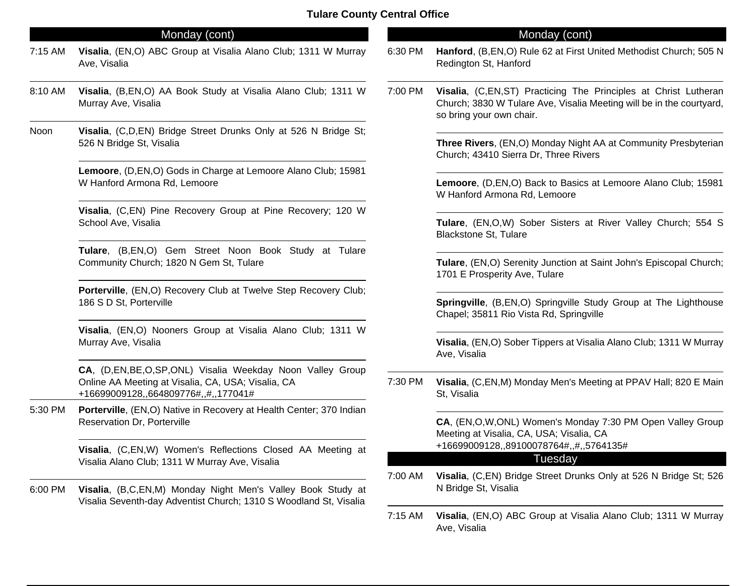## Monday (cont)

- 7:15 AM **Visalia**, (EN,O) ABC Group at Visalia Alano Club; 1311 W Murray Ave, Visalia
- 8:10 AM **Visalia**, (B,EN,O) AA Book Study at Visalia Alano Club; 1311 W Murray Ave, Visalia
- Noon **Visalia**, (C,D,EN) Bridge Street Drunks Only at 526 N Bridge St; 526 N Bridge St, Visalia

**Lemoore**, (D,EN,O) Gods in Charge at Lemoore Alano Club; 15981 W Hanford Armona Rd, Lemoore

**Visalia**, (C,EN) Pine Recovery Group at Pine Recovery; 120 W School Ave, Visalia

**Tulare**, (B,EN,O) Gem Street Noon Book Study at Tulare Community Church; 1820 N Gem St, Tulare

**Porterville**, (EN,O) Recovery Club at Twelve Step Recovery Club; 186 S D St, Porterville

**Visalia**, (EN,O) Nooners Group at Visalia Alano Club; 1311 W Murray Ave, Visalia

**CA**, (D,EN,BE,O,SP,ONL) Visalia Weekday Noon Valley Group Online AA Meeting at Visalia, CA, USA; Visalia, CA +16699009128,,664809776#,,#,,177041#

5:30 PM **Porterville**, (EN,O) Native in Recovery at Health Center; 370 Indian Reservation Dr, Porterville

> **Visalia**, (C,EN,W) Women's Reflections Closed AA Meeting at Visalia Alano Club; 1311 W Murray Ave, Visalia

6:00 PM **Visalia**, (B,C,EN,M) Monday Night Men's Valley Book Study at Visalia Seventh-day Adventist Church; 1310 S Woodland St, Visalia

## Monday (cont)

- 6:30 PM **Hanford**, (B,EN,O) Rule 62 at First United Methodist Church; 505 N Redington St, Hanford
- 7:00 PM **Visalia**, (C,EN,ST) Practicing The Principles at Christ Lutheran Church; 3830 W Tulare Ave, Visalia Meeting will be in the courtyard, so bring your own chair.

**Three Rivers**, (EN,O) Monday Night AA at Community Presbyterian Church; 43410 Sierra Dr, Three Rivers

**Lemoore**, (D,EN,O) Back to Basics at Lemoore Alano Club; 15981 W Hanford Armona Rd, Lemoore

**Tulare**, (EN,O,W) Sober Sisters at River Valley Church; 554 S Blackstone St, Tulare

**Tulare**, (EN,O) Serenity Junction at Saint John's Episcopal Church; 1701 E Prosperity Ave, Tulare

**Springville**, (B,EN,O) Springville Study Group at The Lighthouse Chapel; 35811 Rio Vista Rd, Springville

**Visalia**, (EN,O) Sober Tippers at Visalia Alano Club; 1311 W Murray Ave, Visalia

7:30 PM **Visalia**, (C,EN,M) Monday Men's Meeting at PPAV Hall; 820 E Main St, Visalia

> **CA**, (EN,O,W,ONL) Women's Monday 7:30 PM Open Valley Group Meeting at Visalia, CA, USA; Visalia, CA +16699009128,,89100078764#,,#,,5764135#

## **Tuesday**

- 7:00 AM **Visalia**, (C,EN) Bridge Street Drunks Only at 526 N Bridge St; 526 N Bridge St, Visalia
- 7:15 AM **Visalia**, (EN,O) ABC Group at Visalia Alano Club; 1311 W Murray Ave, Visalia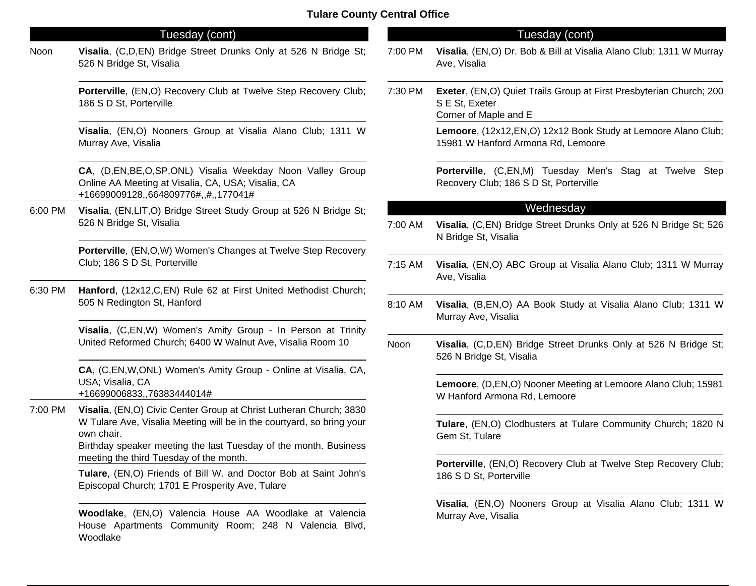## Tuesday (cont)

Noon **Visalia**, (C,D,EN) Bridge Street Drunks Only at 526 N Bridge St; 526 N Bridge St, Visalia

> **Porterville**, (EN,O) Recovery Club at Twelve Step Recovery Club; 186 S D St, Porterville

> **Visalia**, (EN,O) Nooners Group at Visalia Alano Club; 1311 W Murray Ave, Visalia

> **CA**, (D,EN,BE,O,SP,ONL) Visalia Weekday Noon Valley Group Online AA Meeting at Visalia, CA, USA; Visalia, CA +16699009128,,664809776#,,#,,177041#

6:00 PM **Visalia**, (EN,LIT,O) Bridge Street Study Group at 526 N Bridge St; 526 N Bridge St, Visalia

> **Porterville**, (EN,O,W) Women's Changes at Twelve Step Recovery Club; 186 S D St, Porterville

6:30 PM **Hanford**, (12x12,C,EN) Rule 62 at First United Methodist Church; 505 N Redington St, Hanford

> **Visalia**, (C,EN,W) Women's Amity Group - In Person at Trinity United Reformed Church; 6400 W Walnut Ave, Visalia Room 10

> **CA**, (C,EN,W,ONL) Women's Amity Group - Online at Visalia, CA, USA; Visalia, CA +16699006833,,76383444014#

7:00 PM **Visalia**, (EN,O) Civic Center Group at Christ Lutheran Church; 3830 W Tulare Ave, Visalia Meeting will be in the courtyard, so bring your

> own chair. Birthday speaker meeting the last Tuesday of the month. Business meeting the third Tuesday of the month.

> **Tulare**, (EN,O) Friends of Bill W. and Doctor Bob at Saint John's Episcopal Church; 1701 E Prosperity Ave, Tulare

> **Woodlake**, (EN,O) Valencia House AA Woodlake at Valencia House Apartments Community Room; 248 N Valencia Blvd, Woodlake

## Tuesday (cont)

- 7:00 PM **Visalia**, (EN,O) Dr. Bob & Bill at Visalia Alano Club; 1311 W Murray Ave, Visalia
- 7:30 PM **Exeter**, (EN,O) Quiet Trails Group at First Presbyterian Church; 200 S E St, Exeter Corner of Maple and E

**Lemoore**, (12x12,EN,O) 12x12 Book Study at Lemoore Alano Club; 15981 W Hanford Armona Rd, Lemoore

**Porterville**, (C,EN,M) Tuesday Men's Stag at Twelve Step Recovery Club; 186 S D St, Porterville

#### Wednesday

- 7:00 AM **Visalia**, (C,EN) Bridge Street Drunks Only at 526 N Bridge St; 526 N Bridge St, Visalia
- 7:15 AM **Visalia**, (EN,O) ABC Group at Visalia Alano Club; 1311 W Murray Ave, Visalia
- 8:10 AM **Visalia**, (B,EN,O) AA Book Study at Visalia Alano Club; 1311 W Murray Ave, Visalia
- Noon **Visalia**, (C,D,EN) Bridge Street Drunks Only at 526 N Bridge St; 526 N Bridge St, Visalia

**Lemoore**, (D,EN,O) Nooner Meeting at Lemoore Alano Club; 15981 W Hanford Armona Rd, Lemoore

**Tulare**, (EN,O) Clodbusters at Tulare Community Church; 1820 N Gem St, Tulare

**Porterville**, (EN,O) Recovery Club at Twelve Step Recovery Club; 186 S D St, Porterville

**Visalia**, (EN,O) Nooners Group at Visalia Alano Club; 1311 W Murray Ave, Visalia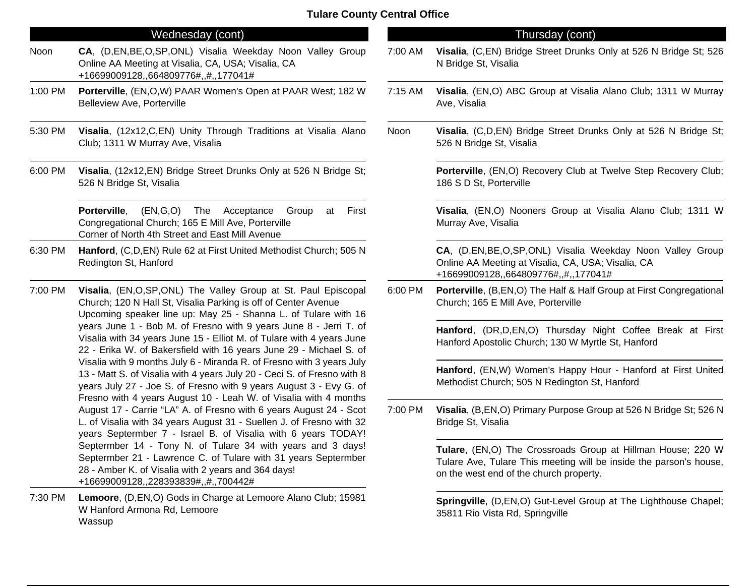## Wednesday (cont)

- Noon **CA**, (D,EN,BE,O,SP,ONL) Visalia Weekday Noon Valley Group Online AA Meeting at Visalia, CA, USA; Visalia, CA +16699009128,,664809776#,,#,,177041#
- 1:00 PM **Porterville**, (EN,O,W) PAAR Women's Open at PAAR West; 182 W Belleview Ave, Porterville
- 5:30 PM **Visalia**, (12x12,C,EN) Unity Through Traditions at Visalia Alano Club; 1311 W Murray Ave, Visalia
- 6:00 PM **Visalia**, (12x12,EN) Bridge Street Drunks Only at 526 N Bridge St; 526 N Bridge St, Visalia

**Porterville**, (EN,G,O) The Acceptance Group at First Congregational Church; 165 E Mill Ave, Porterville Corner of North 4th Street and East Mill Avenue

6:30 PM **Hanford**, (C,D,EN) Rule 62 at First United Methodist Church; 505 N Redington St, Hanford

7:00 PM **Visalia**, (EN,O,SP,ONL) The Valley Group at St. Paul Episcopal Church; 120 N Hall St, Visalia Parking is off of Center Avenue Upcoming speaker line up: May 25 - Shanna L. of Tulare with 16 years June 1 - Bob M. of Fresno with 9 years June 8 - Jerri T. of Visalia with 34 years June 15 - Elliot M. of Tulare with 4 years June 22 - Erika W. of Bakersfield with 16 years June 29 - Michael S. of Visalia with 9 months July 6 - Miranda R. of Fresno with 3 years July 13 - Matt S. of Visalia with 4 years July 20 - Ceci S. of Fresno with 8 years July 27 - Joe S. of Fresno with 9 years August 3 - Evy G. of Fresno with 4 years August 10 - Leah W. of Visalia with 4 months August 17 - Carrie "LA" A. of Fresno with 6 years August 24 - Scot L. of Visalia with 34 years August 31 - Suellen J. of Fresno with 32 years Septermber 7 - Israel B. of Visalia with 6 years TODAY! Septermber 14 - Tony N. of Tulare 34 with years and 3 days! Septermber 21 - Lawrence C. of Tulare with 31 years Septermber 28 - Amber K. of Visalia with 2 years and 364 days! +16699009128,,228393839#,,#,,700442#

7:30 PM **Lemoore**, (D,EN,O) Gods in Charge at Lemoore Alano Club; 15981 W Hanford Armona Rd, Lemoore Wassup

## Thursday (cont)

- 7:00 AM **Visalia**, (C,EN) Bridge Street Drunks Only at 526 N Bridge St; 526 N Bridge St, Visalia
- 7:15 AM **Visalia**, (EN,O) ABC Group at Visalia Alano Club; 1311 W Murray Ave, Visalia
- Noon **Visalia**, (C,D,EN) Bridge Street Drunks Only at 526 N Bridge St; 526 N Bridge St, Visalia

**Porterville**, (EN,O) Recovery Club at Twelve Step Recovery Club; 186 S D St, Porterville

**Visalia**, (EN,O) Nooners Group at Visalia Alano Club; 1311 W Murray Ave, Visalia

**CA**, (D,EN,BE,O,SP,ONL) Visalia Weekday Noon Valley Group Online AA Meeting at Visalia, CA, USA; Visalia, CA +16699009128,,664809776#,,#,,177041#

6:00 PM **Porterville**, (B,EN,O) The Half & Half Group at First Congregational Church; 165 E Mill Ave, Porterville

> **Hanford**, (DR,D,EN,O) Thursday Night Coffee Break at First Hanford Apostolic Church; 130 W Myrtle St, Hanford

> **Hanford**, (EN,W) Women's Happy Hour - Hanford at First United Methodist Church; 505 N Redington St, Hanford

7:00 PM **Visalia**, (B,EN,O) Primary Purpose Group at 526 N Bridge St; 526 N Bridge St, Visalia

> **Tulare**, (EN,O) The Crossroads Group at Hillman House; 220 W Tulare Ave, Tulare This meeting will be inside the parson's house, on the west end of the church property.

> **Springville**, (D,EN,O) Gut-Level Group at The Lighthouse Chapel; 35811 Rio Vista Rd, Springville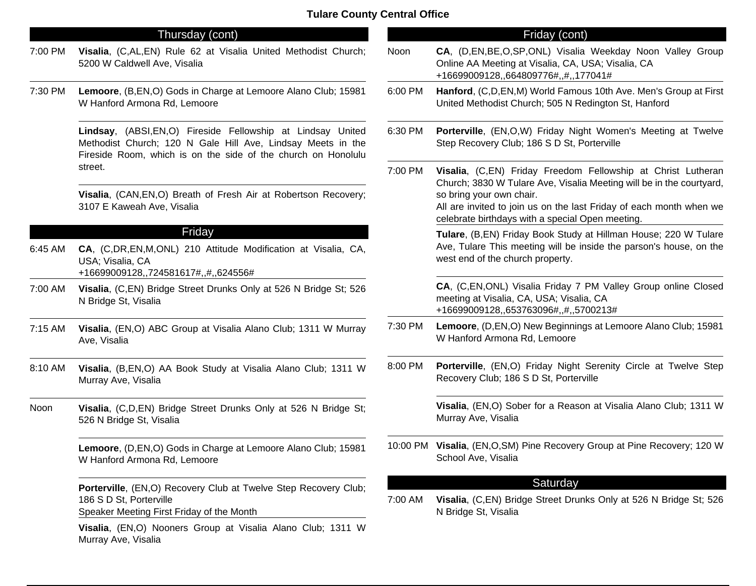#### Thursday (cont)

- 7:00 PM **Visalia**, (C,AL,EN) Rule 62 at Visalia United Methodist Church; 5200 W Caldwell Ave, Visalia
- 7:30 PM **Lemoore**, (B,EN,O) Gods in Charge at Lemoore Alano Club; 15981 W Hanford Armona Rd, Lemoore

**Lindsay**, (ABSI,EN,O) Fireside Fellowship at Lindsay United Methodist Church; 120 N Gale Hill Ave, Lindsay Meets in the Fireside Room, which is on the side of the church on Honolulu street.

**Visalia**, (CAN,EN,O) Breath of Fresh Air at Robertson Recovery; 3107 E Kaweah Ave, Visalia

## Friday

- 6:45 AM **CA**, (C,DR,EN,M,ONL) 210 Attitude Modification at Visalia, CA, USA; Visalia, CA +16699009128,,724581617#,,#,,624556#
- 7:00 AM **Visalia**, (C,EN) Bridge Street Drunks Only at 526 N Bridge St; 526 N Bridge St, Visalia
- 7:15 AM **Visalia**, (EN,O) ABC Group at Visalia Alano Club; 1311 W Murray Ave, Visalia
- 8:10 AM **Visalia**, (B,EN,O) AA Book Study at Visalia Alano Club; 1311 W Murray Ave, Visalia
- Noon **Visalia**, (C,D,EN) Bridge Street Drunks Only at 526 N Bridge St; 526 N Bridge St, Visalia

**Lemoore**, (D,EN,O) Gods in Charge at Lemoore Alano Club; 15981 W Hanford Armona Rd, Lemoore

**Porterville**, (EN,O) Recovery Club at Twelve Step Recovery Club; 186 S D St, Porterville

Speaker Meeting First Friday of the Month

**Visalia**, (EN,O) Nooners Group at Visalia Alano Club; 1311 W Murray Ave, Visalia

## Friday (cont)

- Noon **CA**, (D,EN,BE,O,SP,ONL) Visalia Weekday Noon Valley Group Online AA Meeting at Visalia, CA, USA; Visalia, CA +16699009128,,664809776#,,#,,177041# 6:00 PM **Hanford**, (C,D,EN,M) World Famous 10th Ave. Men's Group at First United Methodist Church; 505 N Redington St, Hanford 6:30 PM **Porterville**, (EN,O,W) Friday Night Women's Meeting at Twelve Step Recovery Club; 186 S D St, Porterville 7:00 PM **Visalia**, (C,EN) Friday Freedom Fellowship at Christ Lutheran Church; 3830 W Tulare Ave, Visalia Meeting will be in the courtyard, so bring your own chair. All are invited to join us on the last Friday of each month when we celebrate birthdays with a special Open meeting. **Tulare**, (B,EN) Friday Book Study at Hillman House; 220 W Tulare Ave, Tulare This meeting will be inside the parson's house, on the west end of the church property. **CA**, (C,EN,ONL) Visalia Friday 7 PM Valley Group online Closed meeting at Visalia, CA, USA; Visalia, CA +16699009128,,653763096#,,#,,5700213# 7:30 PM **Lemoore**, (D,EN,O) New Beginnings at Lemoore Alano Club; 15981 W Hanford Armona Rd, Lemoore 8:00 PM **Porterville**, (EN,O) Friday Night Serenity Circle at Twelve Step Recovery Club; 186 S D St, Porterville **Visalia**, (EN,O) Sober for a Reason at Visalia Alano Club; 1311 W Murray Ave, Visalia 10:00 PM **Visalia**, (EN,O,SM) Pine Recovery Group at Pine Recovery; 120 W School Ave, Visalia **Saturday** 7:00 AM **Visalia**, (C,EN) Bridge Street Drunks Only at 526 N Bridge St; 526
	- N Bridge St, Visalia